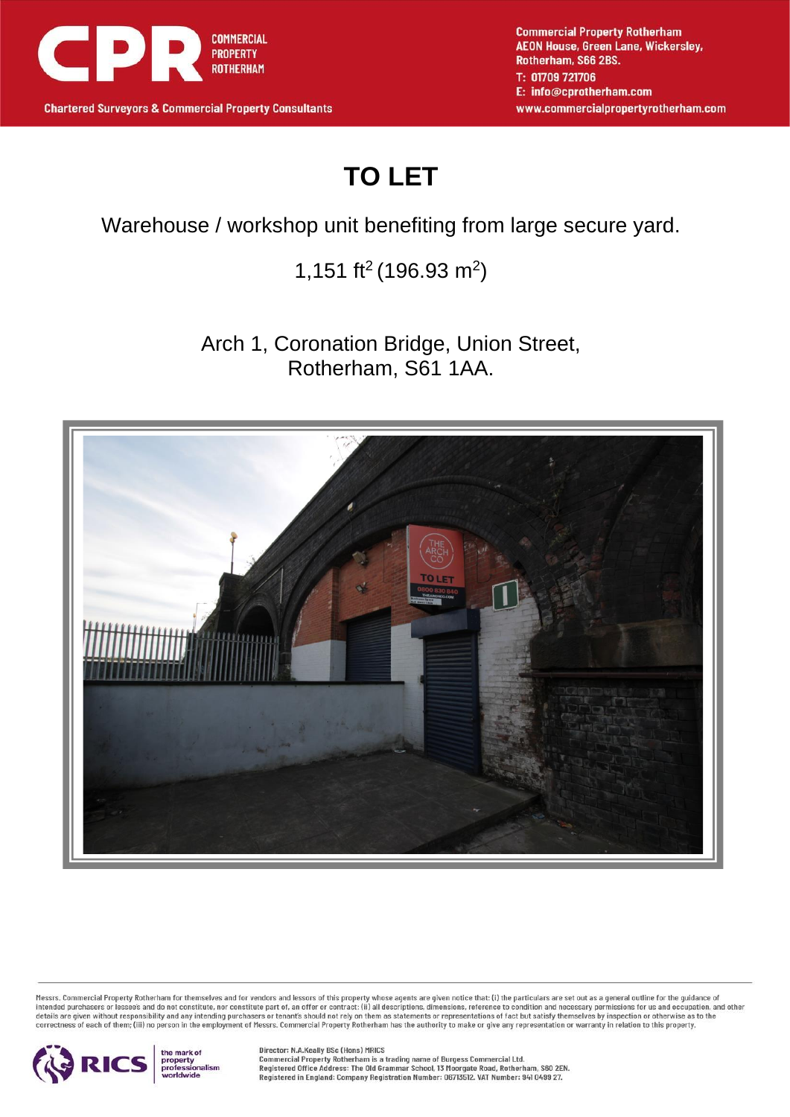

**Commercial Property Rotherham AEON House, Green Lane, Wickersley,** Rotherham, S66 2BS. T: 01709 721706 E: info@cprotherham.com www.commercialpropertyrotherham.com

# **TO LET**

### Warehouse / workshop unit benefiting from large secure yard.

## 1,151 ft<sup>2</sup> (196.93 m<sup>2</sup>)

Arch 1, Coronation Bridge, Union Street, Rotherham, S61 1AA.



Messrs. Commercial Property Rotherham for themselves and for vendors and lessors of this property whose agents are given notice that: (i) the particulars are set out as a general outline for the guidance of<br>intended purcha details are given without responsibility and any intending purchasers or tenant's should not rely on them as statements or representations of fact but satisfy themselves by inspection or otherwise as to the correctness of



#### Director: N.A.Keally BSc (Hons) MRICS Commercial Property Rotherham is a trading name of Burgess Commercial Ltd. Registered Office Address: The Old Grammar School, 13 Moorgate Road, Rotherham, S60 2EN.<br>Registered Office Address: The Old Grammar School, 13 Moorgate Road, Rotherham, S60 2EN.<br>Registered in England: Company Registration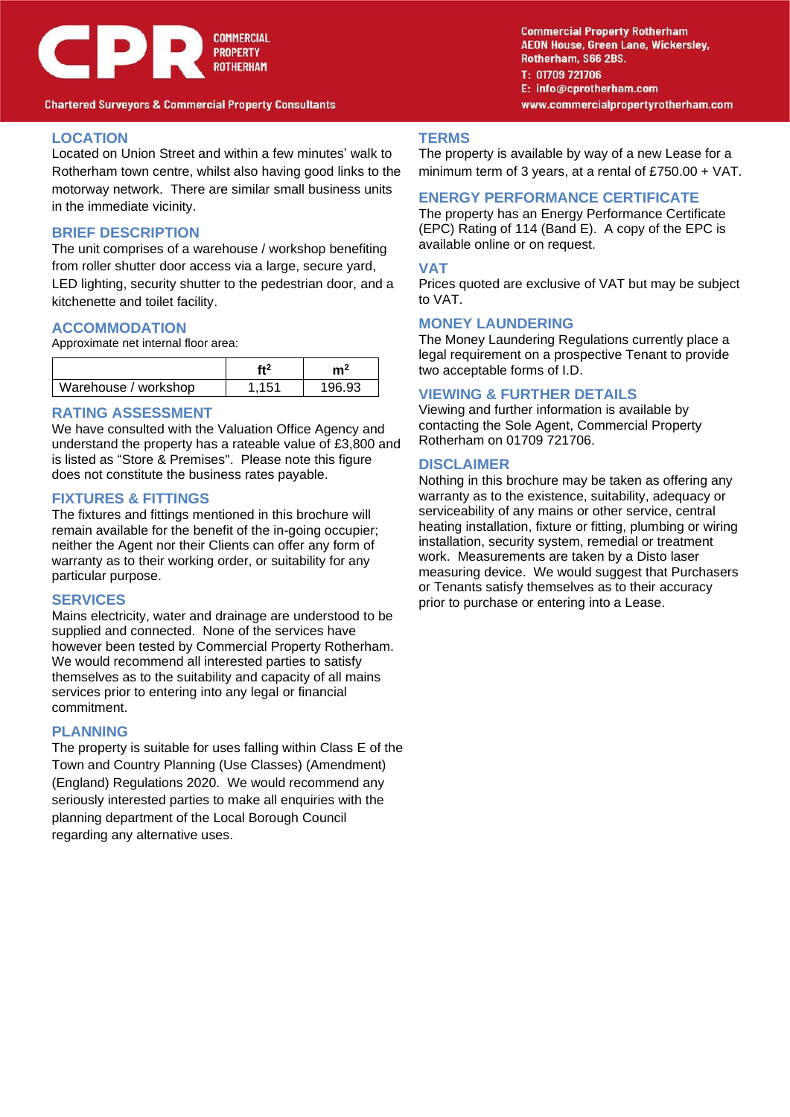

**Chartered Surveyors & Commercial Property Consultants** 

### **LOCATION**

Located on Union Street and within a few minutes' walk to Rotherham town centre, whilst also having good links to the motorway network. There are similar small business units in the immediate vicinity.

#### **BRIEF DESCRIPTION**

The unit comprises of a warehouse / workshop benefiting from roller shutter door access via a large, secure yard, LED lighting, security shutter to the pedestrian door, and a kitchenette and toilet facility.

#### **ACCOMMODATION**

Approximate net internal floor area:

|                      | 24.Z |        |
|----------------------|------|--------|
| Warehouse / workshop |      | 196.93 |

#### **RATING ASSESSMENT**

We have consulted with the Valuation Office Agency and understand the property has a rateable value of £3,800 and is listed as "Store & Premises". Please note this figure does not constitute the business rates payable.

#### **FIXTURES & FITTINGS**

The fixtures and fittings mentioned in this brochure will remain available for the benefit of the in-going occupier; neither the Agent nor their Clients can offer any form of warranty as to their working order, or suitability for any particular purpose.

#### **SERVICES**

Mains electricity, water and drainage are understood to be supplied and connected. None of the services have however been tested by Commercial Property Rotherham. We would recommend all interested parties to satisfy themselves as to the suitability and capacity of all mains services prior to entering into any legal or financial commitment.

#### **PLANNING**

The property is suitable for uses falling within Class E of the Town and Country Planning (Use Classes) (Amendment) (England) Regulations 2020. We would recommend any seriously interested parties to make all enquiries with the planning department of the Local Borough Council regarding any alternative uses.

**Commercial Property Rotherham AEON House, Green Lane, Wickersley,** Rotherham, S66 2BS. T: 01709 721706 E: info@cprotherham.com www.commercialpropertyrotherham.com

#### **TERMS**

The property is available by way of a new Lease for a minimum term of 3 years, at a rental of £750.00 + VAT.

#### **ENERGY PERFORMANCE CERTIFICATE**

The property has an Energy Performance Certificate (EPC) Rating of 114 (Band E). A copy of the EPC is available online or on request.

#### **VAT**

Prices quoted are exclusive of VAT but may be subject to VAT.

#### **MONEY LAUNDERING**

The Money Laundering Regulations currently place a legal requirement on a prospective Tenant to provide two acceptable forms of I.D.

#### **VIEWING & FURTHER DETAILS**

Viewing and further information is available by contacting the Sole Agent, Commercial Property Rotherham on 01709 721706.

#### **DISCLAIMER**

Nothing in this brochure may be taken as offering any warranty as to the existence, suitability, adequacy or serviceability of any mains or other service, central heating installation, fixture or fitting, plumbing or wiring installation, security system, remedial or treatment work. Measurements are taken by a Disto laser measuring device. We would suggest that Purchasers or Tenants satisfy themselves as to their accuracy prior to purchase or entering into a Lease.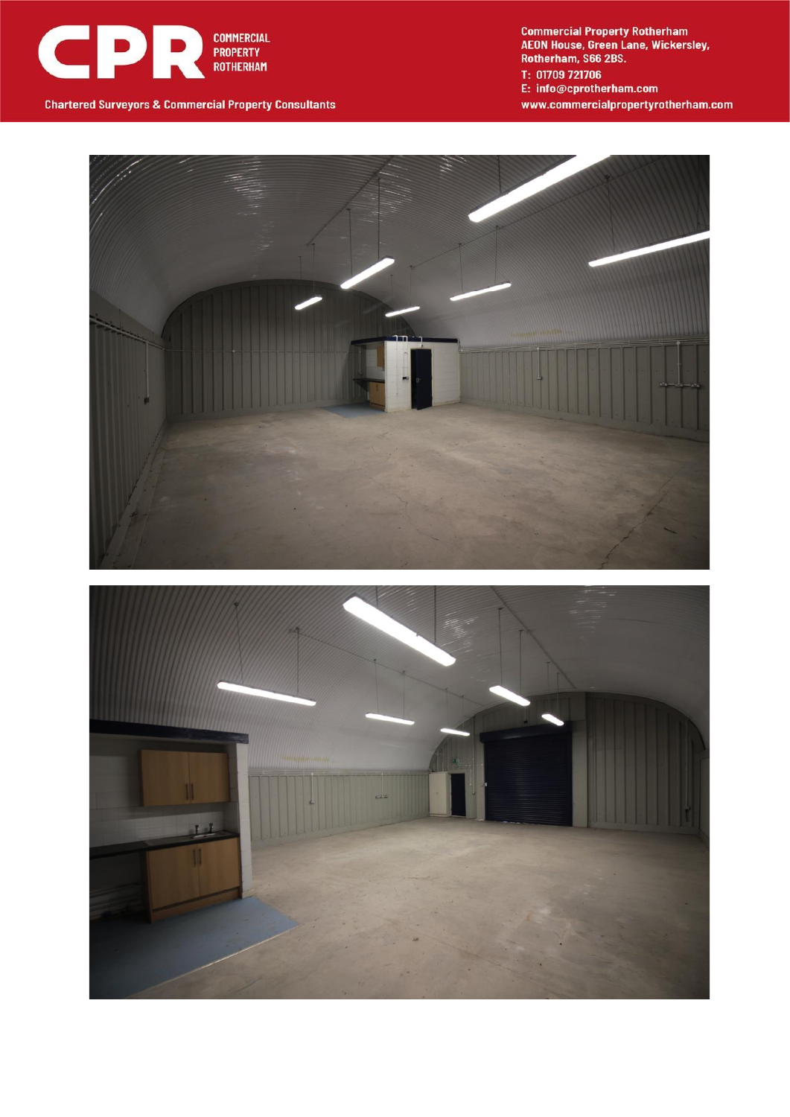

**Chartered Surveyors & Commercial Property Consultants** 

Commercial Property Rotherham<br>AEON House, Green Lane, Wickersley, Rotherham, S66 2BS. T: 01709 721706 E: info@cprotherham.com www.commercialpropertyrotherham.com